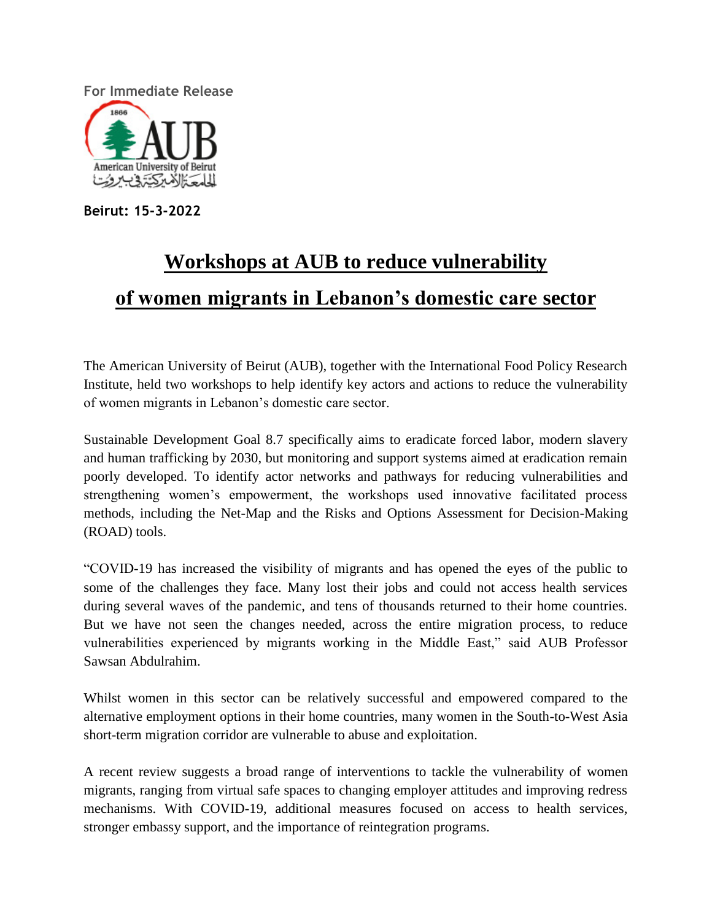**For Immediate Release**



**Beirut: 15-3-2022**

## **Workshops at AUB to reduce vulnerability of women migrants in Lebanon's domestic care sector**

The American University of Beirut (AUB), together with the International Food Policy Research Institute, held two workshops to help identify key actors and actions to reduce the vulnerability of women migrants in Lebanon's domestic care sector.

Sustainable Development Goal 8.7 specifically aims to eradicate forced labor, modern slavery and human trafficking by 2030, but monitoring and support systems aimed at eradication remain poorly developed. To identify actor networks and pathways for reducing vulnerabilities and strengthening women's empowerment, the workshops used innovative facilitated process methods, including the Net-Map and the Risks and Options Assessment for Decision-Making (ROAD) tools.

"COVID-19 has increased the visibility of migrants and has opened the eyes of the public to some of the challenges they face. Many lost their jobs and could not access health services during several waves of the pandemic, and tens of thousands returned to their home countries. But we have not seen the changes needed, across the entire migration process, to reduce vulnerabilities experienced by migrants working in the Middle East," said AUB Professor Sawsan Abdulrahim.

Whilst women in this sector can be relatively successful and empowered compared to the alternative employment options in their home countries, many women in the South-to-West Asia short-term migration corridor are vulnerable to abuse and exploitation.

A recent review suggests a broad range of interventions to tackle the vulnerability of women migrants, ranging from virtual safe spaces to changing employer attitudes and improving redress mechanisms. With COVID-19, additional measures focused on access to health services, stronger embassy support, and the importance of reintegration programs.